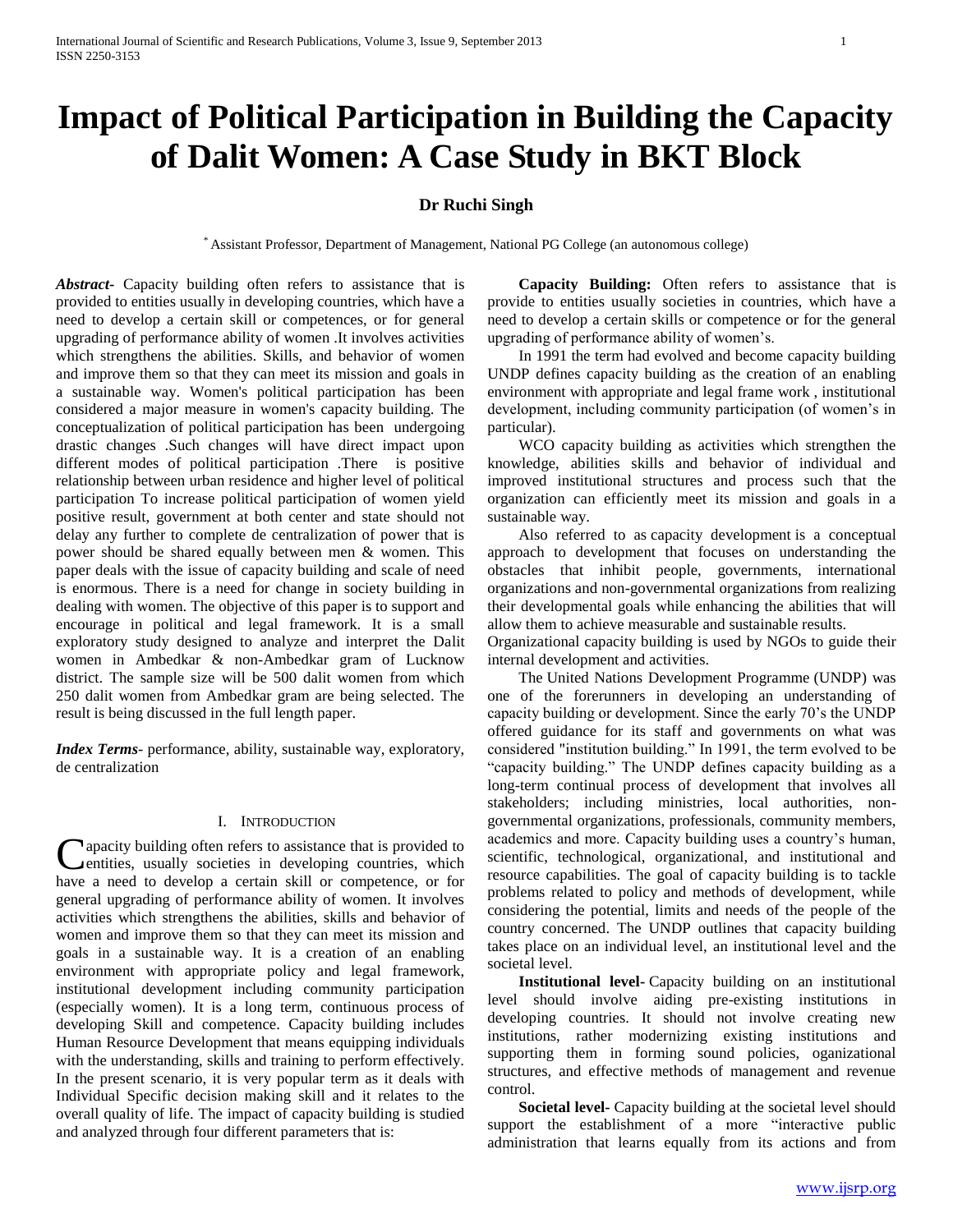# **Impact of Political Participation in Building the Capacity of Dalit Women: A Case Study in BKT Block**

# **Dr Ruchi Singh**

\* Assistant Professor, Department of Management, National PG College (an autonomous college)

*Abstract***-** Capacity building often refers to assistance that is provided to entities usually in developing countries, which have a need to develop a certain skill or competences, or for general upgrading of performance ability of women .It involves activities which strengthens the abilities. Skills, and behavior of women and improve them so that they can meet its mission and goals in a sustainable way. Women's political participation has been considered a major measure in women's capacity building. The conceptualization of political participation has been undergoing drastic changes .Such changes will have direct impact upon different modes of political participation .There is positive relationship between urban residence and higher level of political participation To increase political participation of women yield positive result, government at both center and state should not delay any further to complete de centralization of power that is power should be shared equally between men & women. This paper deals with the issue of capacity building and scale of need is enormous. There is a need for change in society building in dealing with women. The objective of this paper is to support and encourage in political and legal framework. It is a small exploratory study designed to analyze and interpret the Dalit women in Ambedkar & non-Ambedkar gram of Lucknow district. The sample size will be 500 dalit women from which 250 dalit women from Ambedkar gram are being selected. The result is being discussed in the full length paper.

*Index Terms*- performance, ability, sustainable way, exploratory, de centralization

#### I. INTRODUCTION

apacity building often refers to assistance that is provided to entities, usually societies in developing countries, which Capacity building often refers to assistance that is provided to entities, usually societies in developing countries, which have a need to develop a certain skill or competence, or for general upgrading of performance ability of women. It involves activities which strengthens the abilities, skills and behavior of women and improve them so that they can meet its mission and goals in a sustainable way. It is a creation of an enabling environment with appropriate policy and legal framework, institutional development including community participation (especially women). It is a long term, continuous process of developing Skill and competence. Capacity building includes Human Resource Development that means equipping individuals with the understanding, skills and training to perform effectively. In the present scenario, it is very popular term as it deals with Individual Specific decision making skill and it relates to the overall quality of life. The impact of capacity building is studied and analyzed through four different parameters that is:

 **Capacity Building:** Often refers to assistance that is provide to entities usually societies in countries, which have a need to develop a certain skills or competence or for the general upgrading of performance ability of women's.

In 1991 the term had evolved and become capacity building UNDP defines capacity building as the creation of an enabling environment with appropriate and legal frame work , institutional development, including community participation (of women's in particular).

WCO capacity building as activities which strengthen the knowledge, abilities skills and behavior of individual and improved institutional structures and process such that the organization can efficiently meet its mission and goals in a sustainable way.

Also referred to as capacity development is a conceptual approach to development that focuses on understanding the obstacles that inhibit people, governments, international organizations and non-governmental organizations from realizing their developmental goals while enhancing the abilities that will allow them to achieve measurable and sustainable results.

Organizational capacity building is used by NGOs to guide their internal development and activities.

The United Nations Development Programme (UNDP) was one of the forerunners in developing an understanding of capacity building or development. Since the early 70's the UNDP offered guidance for its staff and governments on what was considered "institution building." In 1991, the term evolved to be "capacity building." The UNDP defines capacity building as a long-term continual process of development that involves all stakeholders; including ministries, local authorities, nongovernmental organizations, professionals, community members, academics and more. Capacity building uses a country's human, scientific, technological, organizational, and institutional and resource capabilities. The goal of capacity building is to tackle problems related to policy and methods of development, while considering the potential, limits and needs of the people of the country concerned. The UNDP outlines that capacity building takes place on an individual level, an institutional level and the societal level.

 **Institutional level-** Capacity building on an institutional level should involve aiding pre-existing institutions in developing countries. It should not involve creating new institutions, rather modernizing existing institutions and supporting them in forming sound policies, oganizational structures, and effective methods of management and revenue control.

 **Societal level-** Capacity building at the societal level should support the establishment of a more "interactive public administration that learns equally from its actions and from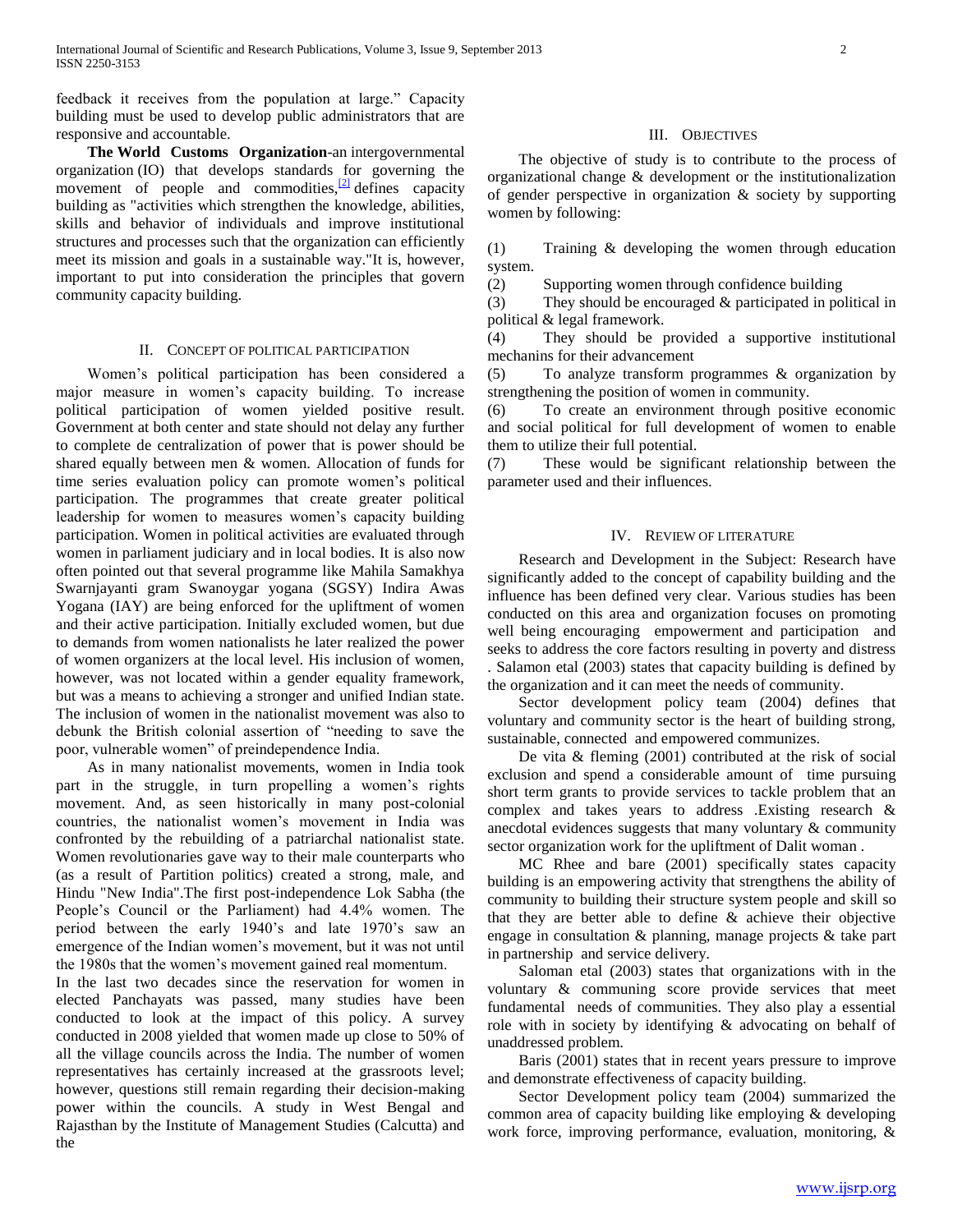feedback it receives from the population at large." Capacity building must be used to develop public administrators that are responsive and accountable.

 **The World Customs Organization**-an intergovernmental organization (IO) that develops standards for governing the movement of people and commodities, $\frac{[2]}{]}$  $\frac{[2]}{]}$  $\frac{[2]}{]}$  defines capacity building as "activities which strengthen the knowledge, abilities, skills and behavior of individuals and improve institutional structures and processes such that the organization can efficiently meet its mission and goals in a sustainable way."It is, however, important to put into consideration the principles that govern community capacity building.

#### II. CONCEPT OF POLITICAL PARTICIPATION

Women's political participation has been considered a major measure in women's capacity building. To increase political participation of women yielded positive result. Government at both center and state should not delay any further to complete de centralization of power that is power should be shared equally between men & women. Allocation of funds for time series evaluation policy can promote women's political participation. The programmes that create greater political leadership for women to measures women's capacity building participation. Women in political activities are evaluated through women in parliament judiciary and in local bodies. It is also now often pointed out that several programme like Mahila Samakhya Swarnjayanti gram Swanoygar yogana (SGSY) Indira Awas Yogana (IAY) are being enforced for the upliftment of women and their active participation. Initially excluded women, but due to demands from women nationalists he later realized the power of women organizers at the local level. His inclusion of women, however, was not located within a gender equality framework, but was a means to achieving a stronger and unified Indian state. The inclusion of women in the nationalist movement was also to debunk the British colonial assertion of "needing to save the poor, vulnerable women" of preindependence India.

As in many nationalist movements, women in India took part in the struggle, in turn propelling a women's rights movement. And, as seen historically in many post-colonial countries, the nationalist women's movement in India was confronted by the rebuilding of a patriarchal nationalist state. Women revolutionaries gave way to their male counterparts who (as a result of Partition politics) created a strong, male, and Hindu "New India".The first post-independence Lok Sabha (the People's Council or the Parliament) had 4.4% women. The period between the early 1940's and late 1970's saw an emergence of the Indian women's movement, but it was not until the 1980s that the women's movement gained real momentum.

In the last two decades since the reservation for women in elected Panchayats was passed, many studies have been conducted to look at the impact of this policy. A survey conducted in 2008 yielded that women made up close to 50% of all the village councils across the India. The number of women representatives has certainly increased at the grassroots level; however, questions still remain regarding their decision-making power within the councils. A study in West Bengal and Rajasthan by the Institute of Management Studies (Calcutta) and the

#### III. OBJECTIVES

The objective of study is to contribute to the process of organizational change & development or the institutionalization of gender perspective in organization & society by supporting women by following:

(1) Training & developing the women through education system.

(2) Supporting women through confidence building

(3) They should be encouraged & participated in political in political & legal framework.

(4) They should be provided a supportive institutional mechanins for their advancement

(5) To analyze transform programmes & organization by strengthening the position of women in community.

(6) To create an environment through positive economic and social political for full development of women to enable them to utilize their full potential.

(7) These would be significant relationship between the parameter used and their influences.

#### IV. REVIEW OF LITERATURE

Research and Development in the Subject: Research have significantly added to the concept of capability building and the influence has been defined very clear. Various studies has been conducted on this area and organization focuses on promoting well being encouraging empowerment and participation and seeks to address the core factors resulting in poverty and distress . Salamon etal (2003) states that capacity building is defined by the organization and it can meet the needs of community.

Sector development policy team (2004) defines that voluntary and community sector is the heart of building strong, sustainable, connected and empowered communizes.

De vita & fleming (2001) contributed at the risk of social exclusion and spend a considerable amount of time pursuing short term grants to provide services to tackle problem that an complex and takes years to address .Existing research & anecdotal evidences suggests that many voluntary & community sector organization work for the upliftment of Dalit woman .

MC Rhee and bare (2001) specifically states capacity building is an empowering activity that strengthens the ability of community to building their structure system people and skill so that they are better able to define & achieve their objective engage in consultation & planning, manage projects & take part in partnership and service delivery.

Saloman etal (2003) states that organizations with in the voluntary & communing score provide services that meet fundamental needs of communities. They also play a essential role with in society by identifying & advocating on behalf of unaddressed problem.

Baris (2001) states that in recent years pressure to improve and demonstrate effectiveness of capacity building.

Sector Development policy team (2004) summarized the common area of capacity building like employing & developing work force, improving performance, evaluation, monitoring, &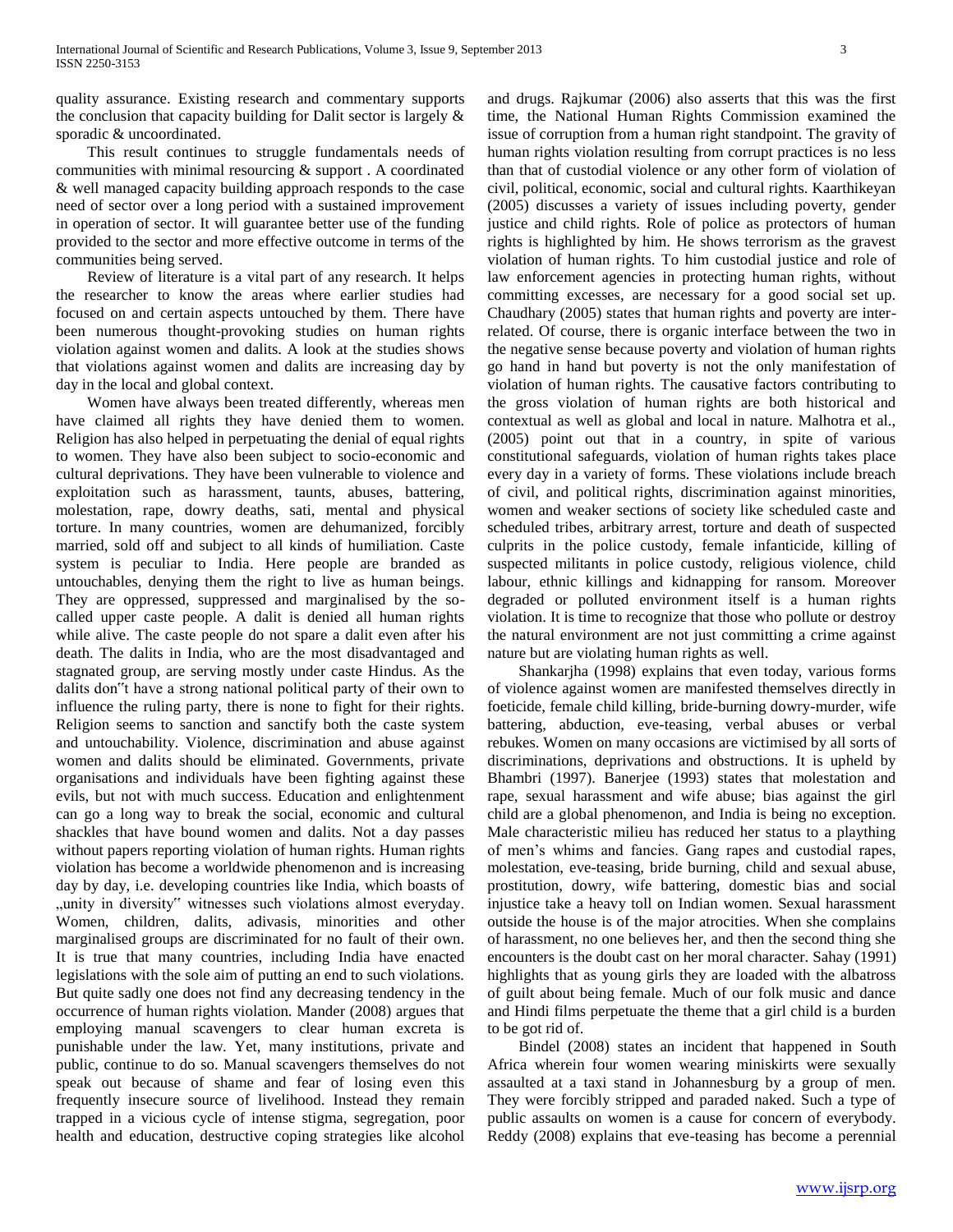quality assurance. Existing research and commentary supports the conclusion that capacity building for Dalit sector is largely & sporadic & uncoordinated.

This result continues to struggle fundamentals needs of communities with minimal resourcing & support . A coordinated & well managed capacity building approach responds to the case need of sector over a long period with a sustained improvement in operation of sector. It will guarantee better use of the funding provided to the sector and more effective outcome in terms of the communities being served.

Review of literature is a vital part of any research. It helps the researcher to know the areas where earlier studies had focused on and certain aspects untouched by them. There have been numerous thought-provoking studies on human rights violation against women and dalits. A look at the studies shows that violations against women and dalits are increasing day by day in the local and global context.

Women have always been treated differently, whereas men have claimed all rights they have denied them to women. Religion has also helped in perpetuating the denial of equal rights to women. They have also been subject to socio-economic and cultural deprivations. They have been vulnerable to violence and exploitation such as harassment, taunts, abuses, battering, molestation, rape, dowry deaths, sati, mental and physical torture. In many countries, women are dehumanized, forcibly married, sold off and subject to all kinds of humiliation. Caste system is peculiar to India. Here people are branded as untouchables, denying them the right to live as human beings. They are oppressed, suppressed and marginalised by the socalled upper caste people. A dalit is denied all human rights while alive. The caste people do not spare a dalit even after his death. The dalits in India, who are the most disadvantaged and stagnated group, are serving mostly under caste Hindus. As the dalits don"t have a strong national political party of their own to influence the ruling party, there is none to fight for their rights. Religion seems to sanction and sanctify both the caste system and untouchability. Violence, discrimination and abuse against women and dalits should be eliminated. Governments, private organisations and individuals have been fighting against these evils, but not with much success. Education and enlightenment can go a long way to break the social, economic and cultural shackles that have bound women and dalits. Not a day passes without papers reporting violation of human rights. Human rights violation has become a worldwide phenomenon and is increasing day by day, i.e. developing countries like India, which boasts of "unity in diversity" witnesses such violations almost everyday. Women, children, dalits, adivasis, minorities and other marginalised groups are discriminated for no fault of their own. It is true that many countries, including India have enacted legislations with the sole aim of putting an end to such violations. But quite sadly one does not find any decreasing tendency in the occurrence of human rights violation. Mander (2008) argues that employing manual scavengers to clear human excreta is punishable under the law. Yet, many institutions, private and public, continue to do so. Manual scavengers themselves do not speak out because of shame and fear of losing even this frequently insecure source of livelihood. Instead they remain trapped in a vicious cycle of intense stigma, segregation, poor health and education, destructive coping strategies like alcohol and drugs. Rajkumar (2006) also asserts that this was the first time, the National Human Rights Commission examined the issue of corruption from a human right standpoint. The gravity of human rights violation resulting from corrupt practices is no less than that of custodial violence or any other form of violation of civil, political, economic, social and cultural rights. Kaarthikeyan (2005) discusses a variety of issues including poverty, gender justice and child rights. Role of police as protectors of human rights is highlighted by him. He shows terrorism as the gravest violation of human rights. To him custodial justice and role of law enforcement agencies in protecting human rights, without committing excesses, are necessary for a good social set up. Chaudhary (2005) states that human rights and poverty are interrelated. Of course, there is organic interface between the two in the negative sense because poverty and violation of human rights go hand in hand but poverty is not the only manifestation of violation of human rights. The causative factors contributing to the gross violation of human rights are both historical and contextual as well as global and local in nature. Malhotra et al., (2005) point out that in a country, in spite of various constitutional safeguards, violation of human rights takes place every day in a variety of forms. These violations include breach of civil, and political rights, discrimination against minorities, women and weaker sections of society like scheduled caste and scheduled tribes, arbitrary arrest, torture and death of suspected culprits in the police custody, female infanticide, killing of suspected militants in police custody, religious violence, child labour, ethnic killings and kidnapping for ransom. Moreover degraded or polluted environment itself is a human rights violation. It is time to recognize that those who pollute or destroy the natural environment are not just committing a crime against nature but are violating human rights as well.

Shankarjha (1998) explains that even today, various forms of violence against women are manifested themselves directly in foeticide, female child killing, bride-burning dowry-murder, wife battering, abduction, eve-teasing, verbal abuses or verbal rebukes. Women on many occasions are victimised by all sorts of discriminations, deprivations and obstructions. It is upheld by Bhambri (1997). Banerjee (1993) states that molestation and rape, sexual harassment and wife abuse; bias against the girl child are a global phenomenon, and India is being no exception. Male characteristic milieu has reduced her status to a plaything of men's whims and fancies. Gang rapes and custodial rapes, molestation, eve-teasing, bride burning, child and sexual abuse, prostitution, dowry, wife battering, domestic bias and social injustice take a heavy toll on Indian women. Sexual harassment outside the house is of the major atrocities. When she complains of harassment, no one believes her, and then the second thing she encounters is the doubt cast on her moral character. Sahay (1991) highlights that as young girls they are loaded with the albatross of guilt about being female. Much of our folk music and dance and Hindi films perpetuate the theme that a girl child is a burden to be got rid of.

Bindel (2008) states an incident that happened in South Africa wherein four women wearing miniskirts were sexually assaulted at a taxi stand in Johannesburg by a group of men. They were forcibly stripped and paraded naked. Such a type of public assaults on women is a cause for concern of everybody. Reddy (2008) explains that eve-teasing has become a perennial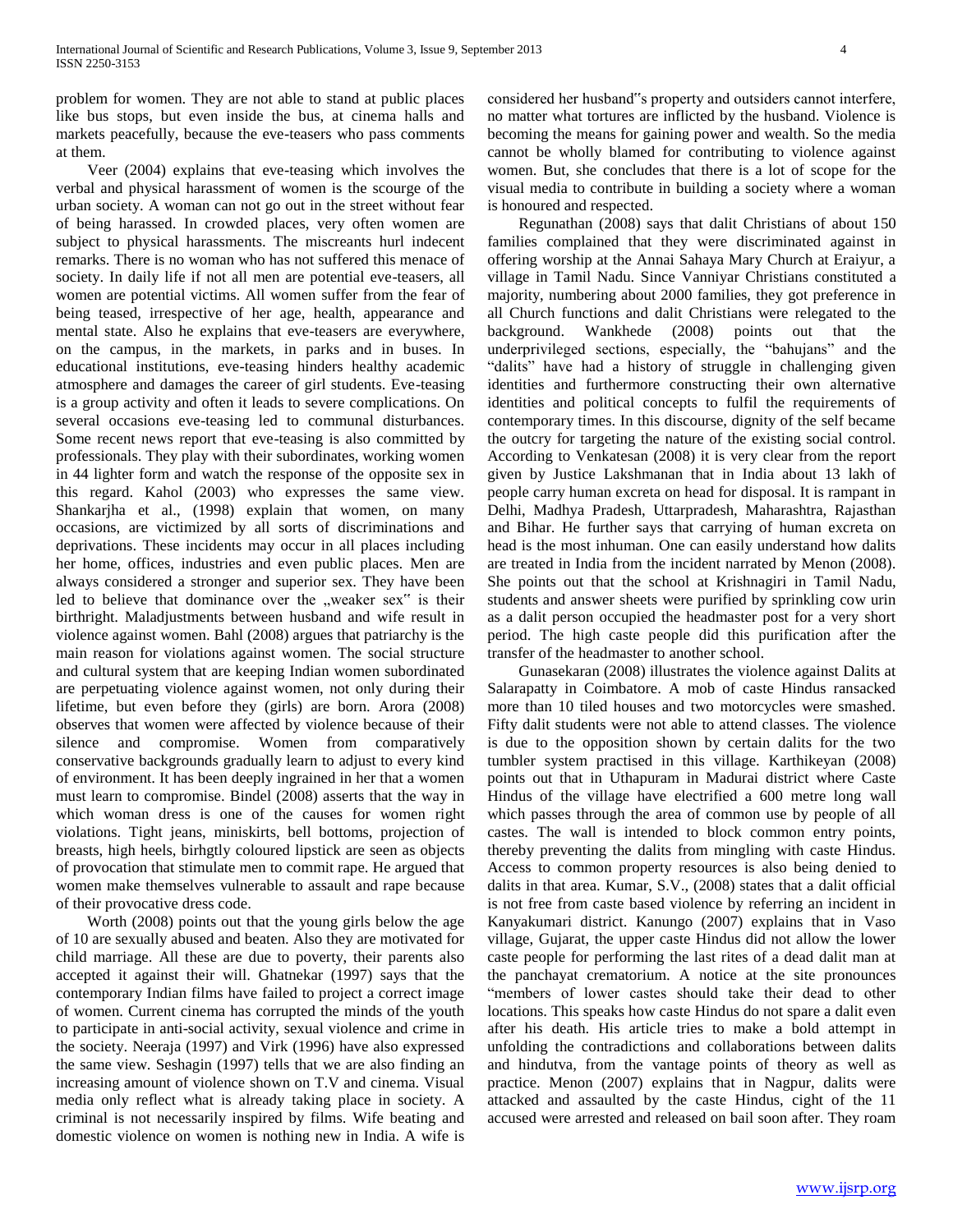problem for women. They are not able to stand at public places like bus stops, but even inside the bus, at cinema halls and markets peacefully, because the eve-teasers who pass comments at them.

Veer (2004) explains that eve-teasing which involves the verbal and physical harassment of women is the scourge of the urban society. A woman can not go out in the street without fear of being harassed. In crowded places, very often women are subject to physical harassments. The miscreants hurl indecent remarks. There is no woman who has not suffered this menace of society. In daily life if not all men are potential eve-teasers, all women are potential victims. All women suffer from the fear of being teased, irrespective of her age, health, appearance and mental state. Also he explains that eve-teasers are everywhere, on the campus, in the markets, in parks and in buses. In educational institutions, eve-teasing hinders healthy academic atmosphere and damages the career of girl students. Eve-teasing is a group activity and often it leads to severe complications. On several occasions eve-teasing led to communal disturbances. Some recent news report that eve-teasing is also committed by professionals. They play with their subordinates, working women in 44 lighter form and watch the response of the opposite sex in this regard. Kahol (2003) who expresses the same view. Shankarjha et al., (1998) explain that women, on many occasions, are victimized by all sorts of discriminations and deprivations. These incidents may occur in all places including her home, offices, industries and even public places. Men are always considered a stronger and superior sex. They have been led to believe that dominance over the "weaker sex" is their birthright. Maladjustments between husband and wife result in violence against women. Bahl (2008) argues that patriarchy is the main reason for violations against women. The social structure and cultural system that are keeping Indian women subordinated are perpetuating violence against women, not only during their lifetime, but even before they (girls) are born. Arora (2008) observes that women were affected by violence because of their silence and compromise. Women from comparatively conservative backgrounds gradually learn to adjust to every kind of environment. It has been deeply ingrained in her that a women must learn to compromise. Bindel (2008) asserts that the way in which woman dress is one of the causes for women right violations. Tight jeans, miniskirts, bell bottoms, projection of breasts, high heels, birhgtly coloured lipstick are seen as objects of provocation that stimulate men to commit rape. He argued that women make themselves vulnerable to assault and rape because of their provocative dress code.

Worth (2008) points out that the young girls below the age of 10 are sexually abused and beaten. Also they are motivated for child marriage. All these are due to poverty, their parents also accepted it against their will. Ghatnekar (1997) says that the contemporary Indian films have failed to project a correct image of women. Current cinema has corrupted the minds of the youth to participate in anti-social activity, sexual violence and crime in the society. Neeraja (1997) and Virk (1996) have also expressed the same view. Seshagin (1997) tells that we are also finding an increasing amount of violence shown on T.V and cinema. Visual media only reflect what is already taking place in society. A criminal is not necessarily inspired by films. Wife beating and domestic violence on women is nothing new in India. A wife is

considered her husband"s property and outsiders cannot interfere, no matter what tortures are inflicted by the husband. Violence is becoming the means for gaining power and wealth. So the media cannot be wholly blamed for contributing to violence against women. But, she concludes that there is a lot of scope for the visual media to contribute in building a society where a woman is honoured and respected.

Regunathan (2008) says that dalit Christians of about 150 families complained that they were discriminated against in offering worship at the Annai Sahaya Mary Church at Eraiyur, a village in Tamil Nadu. Since Vanniyar Christians constituted a majority, numbering about 2000 families, they got preference in all Church functions and dalit Christians were relegated to the background. Wankhede (2008) points out that the underprivileged sections, especially, the "bahujans" and the "dalits" have had a history of struggle in challenging given identities and furthermore constructing their own alternative identities and political concepts to fulfil the requirements of contemporary times. In this discourse, dignity of the self became the outcry for targeting the nature of the existing social control. According to Venkatesan (2008) it is very clear from the report given by Justice Lakshmanan that in India about 13 lakh of people carry human excreta on head for disposal. It is rampant in Delhi, Madhya Pradesh, Uttarpradesh, Maharashtra, Rajasthan and Bihar. He further says that carrying of human excreta on head is the most inhuman. One can easily understand how dalits are treated in India from the incident narrated by Menon (2008). She points out that the school at Krishnagiri in Tamil Nadu, students and answer sheets were purified by sprinkling cow urin as a dalit person occupied the headmaster post for a very short period. The high caste people did this purification after the transfer of the headmaster to another school.

Gunasekaran (2008) illustrates the violence against Dalits at Salarapatty in Coimbatore. A mob of caste Hindus ransacked more than 10 tiled houses and two motorcycles were smashed. Fifty dalit students were not able to attend classes. The violence is due to the opposition shown by certain dalits for the two tumbler system practised in this village. Karthikeyan (2008) points out that in Uthapuram in Madurai district where Caste Hindus of the village have electrified a 600 metre long wall which passes through the area of common use by people of all castes. The wall is intended to block common entry points, thereby preventing the dalits from mingling with caste Hindus. Access to common property resources is also being denied to dalits in that area. Kumar, S.V., (2008) states that a dalit official is not free from caste based violence by referring an incident in Kanyakumari district. Kanungo (2007) explains that in Vaso village, Gujarat, the upper caste Hindus did not allow the lower caste people for performing the last rites of a dead dalit man at the panchayat crematorium. A notice at the site pronounces "members of lower castes should take their dead to other locations. This speaks how caste Hindus do not spare a dalit even after his death. His article tries to make a bold attempt in unfolding the contradictions and collaborations between dalits and hindutva, from the vantage points of theory as well as practice. Menon (2007) explains that in Nagpur, dalits were attacked and assaulted by the caste Hindus, cight of the 11 accused were arrested and released on bail soon after. They roam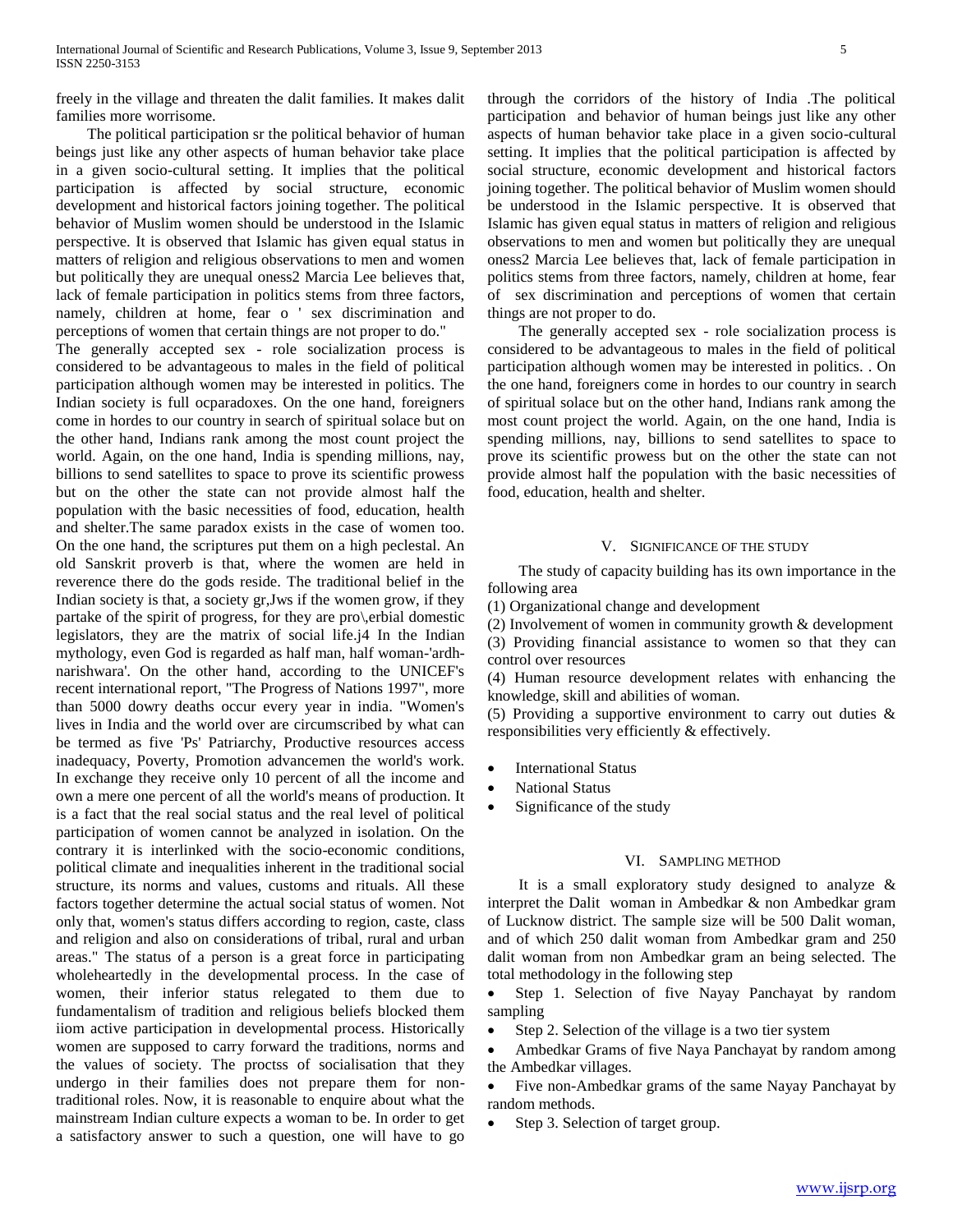freely in the village and threaten the dalit families. It makes dalit families more worrisome.

The political participation sr the political behavior of human beings just like any other aspects of human behavior take place in a given socio-cultural setting. It implies that the political participation is affected by social structure, economic development and historical factors joining together. The political behavior of Muslim women should be understood in the Islamic perspective. It is observed that Islamic has given equal status in matters of religion and religious observations to men and women but politically they are unequal oness2 Marcia Lee believes that, lack of female participation in politics stems from three factors, namely, children at home, fear o ' sex discrimination and perceptions of women that certain things are not proper to do." The generally accepted sex - role socialization process is considered to be advantageous to males in the field of political participation although women may be interested in politics. The Indian society is full ocparadoxes. On the one hand, foreigners come in hordes to our country in search of spiritual solace but on the other hand, Indians rank among the most count project the world. Again, on the one hand, India is spending millions, nay, billions to send satellites to space to prove its scientific prowess but on the other the state can not provide almost half the population with the basic necessities of food, education, health and shelter.The same paradox exists in the case of women too. On the one hand, the scriptures put them on a high peclestal. An old Sanskrit proverb is that, where the women are held in reverence there do the gods reside. The traditional belief in the Indian society is that, a society gr,Jws if the women grow, if they partake of the spirit of progress, for they are pro\,erbial domestic legislators, they are the matrix of social life.j4 In the Indian mythology, even God is regarded as half man, half woman-'ardhnarishwara'. On the other hand, according to the UNICEF's recent international report, "The Progress of Nations 1997", more than 5000 dowry deaths occur every year in india. "Women's lives in India and the world over are circumscribed by what can be termed as five 'Ps' Patriarchy, Productive resources access inadequacy, Poverty, Promotion advancemen the world's work. In exchange they receive only 10 percent of all the income and own a mere one percent of all the world's means of production. It is a fact that the real social status and the real level of political participation of women cannot be analyzed in isolation. On the contrary it is interlinked with the socio-economic conditions, political climate and inequalities inherent in the traditional social structure, its norms and values, customs and rituals. All these factors together determine the actual social status of women. Not only that, women's status differs according to region, caste, class and religion and also on considerations of tribal, rural and urban areas." The status of a person is a great force in participating wholeheartedly in the developmental process. In the case of women, their inferior status relegated to them due to fundamentalism of tradition and religious beliefs blocked them iiom active participation in developmental process. Historically women are supposed to carry forward the traditions, norms and the values of society. The proctss of socialisation that they undergo in their families does not prepare them for nontraditional roles. Now, it is reasonable to enquire about what the mainstream Indian culture expects a woman to be. In order to get a satisfactory answer to such a question, one will have to go

through the corridors of the history of India .The political participation and behavior of human beings just like any other aspects of human behavior take place in a given socio-cultural setting. It implies that the political participation is affected by social structure, economic development and historical factors joining together. The political behavior of Muslim women should be understood in the Islamic perspective. It is observed that Islamic has given equal status in matters of religion and religious observations to men and women but politically they are unequal oness2 Marcia Lee believes that, lack of female participation in politics stems from three factors, namely, children at home, fear of sex discrimination and perceptions of women that certain things are not proper to do.

The generally accepted sex - role socialization process is considered to be advantageous to males in the field of political participation although women may be interested in politics. . On the one hand, foreigners come in hordes to our country in search of spiritual solace but on the other hand, Indians rank among the most count project the world. Again, on the one hand, India is spending millions, nay, billions to send satellites to space to prove its scientific prowess but on the other the state can not provide almost half the population with the basic necessities of food, education, health and shelter.

#### V. SIGNIFICANCE OF THE STUDY

The study of capacity building has its own importance in the following area

(1) Organizational change and development

(2) Involvement of women in community growth & development (3) Providing financial assistance to women so that they can control over resources

(4) Human resource development relates with enhancing the knowledge, skill and abilities of woman.

(5) Providing a supportive environment to carry out duties & responsibilities very efficiently & effectively.

- International Status
- National Status
- Significance of the study

### VI. SAMPLING METHOD

It is a small exploratory study designed to analyze & interpret the Dalit woman in Ambedkar & non Ambedkar gram of Lucknow district. The sample size will be 500 Dalit woman, and of which 250 dalit woman from Ambedkar gram and 250 dalit woman from non Ambedkar gram an being selected. The total methodology in the following step

• Step 1. Selection of five Nayay Panchayat by random sampling

• Step 2. Selection of the village is a two tier system

 Ambedkar Grams of five Naya Panchayat by random among the Ambedkar villages.

 Five non-Ambedkar grams of the same Nayay Panchayat by random methods.

Step 3. Selection of target group.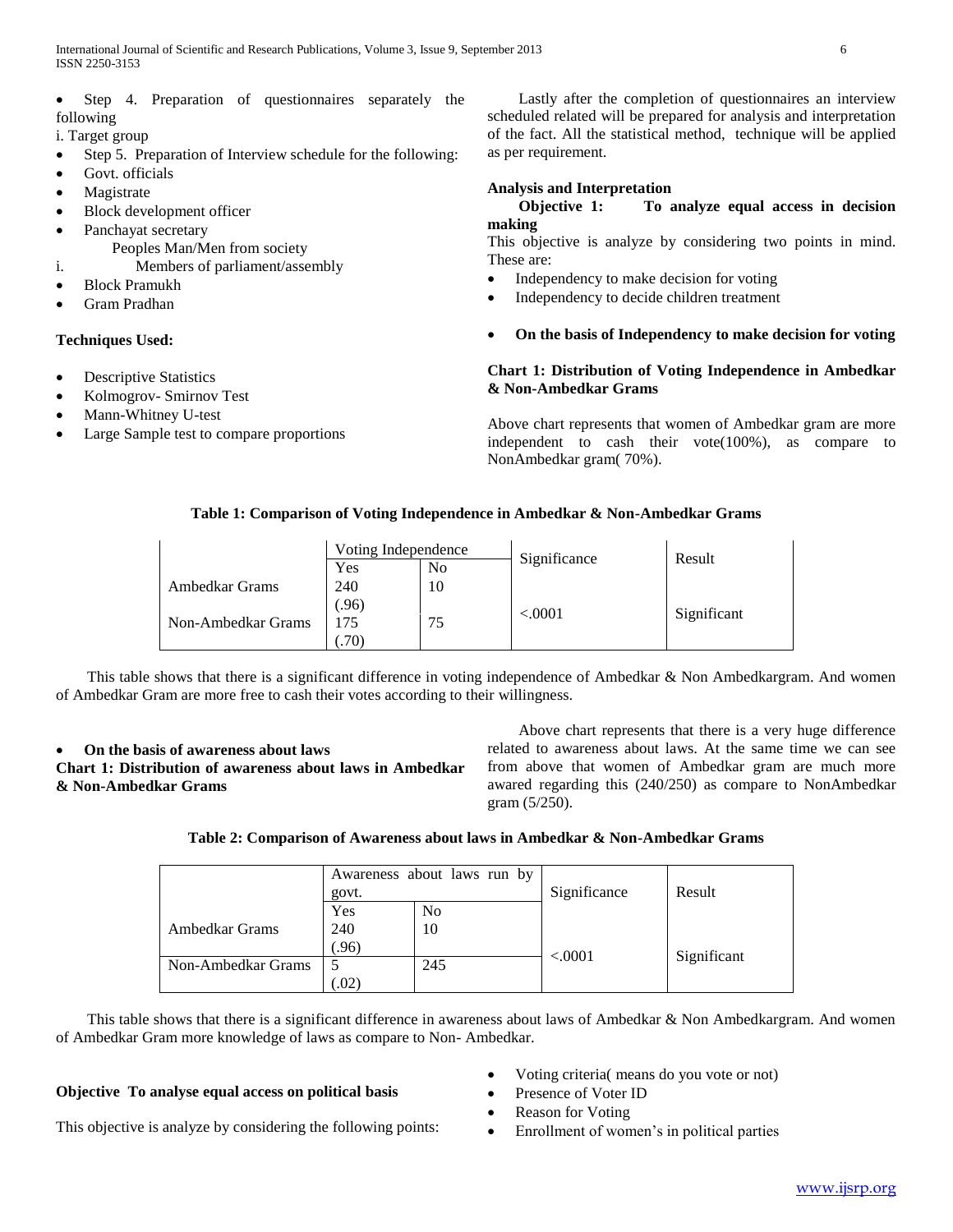Step 4. Preparation of questionnaires separately the following

i. Target group

- Step 5. Preparation of Interview schedule for the following:
- Govt. officials
- Magistrate
- Block development officer
- Panchayat secretary
	- Peoples Man/Men from society
- i. Members of parliament/assembly
- Block Pramukh
- Gram Pradhan

#### **Techniques Used:**

- Descriptive Statistics
- Kolmogrov- Smirnov Test
- Mann-Whitney U-test
- Large Sample test to compare proportions

Lastly after the completion of questionnaires an interview scheduled related will be prepared for analysis and interpretation of the fact. All the statistical method, technique will be applied as per requirement.

# **Analysis and Interpretation**

# **Objective 1: To analyze equal access in decision making**

This objective is analyze by considering two points in mind. These are:

- Independency to make decision for voting
- Independency to decide children treatment
- **On the basis of Independency to make decision for voting**

# **Chart 1: Distribution of Voting Independence in Ambedkar & Non-Ambedkar Grams**

Above chart represents that women of Ambedkar gram are more independent to cash their vote(100%), as compare to NonAmbedkar gram( 70%).

# **Table 1: Comparison of Voting Independence in Ambedkar & Non-Ambedkar Grams**

|                    | Voting Independence |    |              | Result      |
|--------------------|---------------------|----|--------------|-------------|
|                    | Yes                 | No | Significance |             |
| Ambedkar Grams     | 240                 | 10 |              |             |
|                    | (96)                |    | $<\!\!.0001$ |             |
| Non-Ambedkar Grams | 75ء                 |    |              | Significant |
|                    | (70)                |    |              |             |

This table shows that there is a significant difference in voting independence of Ambedkar & Non Ambedkargram. And women of Ambedkar Gram are more free to cash their votes according to their willingness.

# **On the basis of awareness about laws**

**Chart 1: Distribution of awareness about laws in Ambedkar & Non-Ambedkar Grams** 

Above chart represents that there is a very huge difference related to awareness about laws. At the same time we can see from above that women of Ambedkar gram are much more awared regarding this (240/250) as compare to NonAmbedkar gram (5/250).

# **Table 2: Comparison of Awareness about laws in Ambedkar & Non-Ambedkar Grams**

|                    | Awareness about laws run by<br>govt. |                | Significance | Result      |
|--------------------|--------------------------------------|----------------|--------------|-------------|
|                    | Yes                                  | N <sub>o</sub> |              |             |
| Ambedkar Grams     | 240                                  | 10             |              |             |
|                    | (.96)                                |                | < .0001      | Significant |
| Non-Ambedkar Grams |                                      | 245            |              |             |
|                    | .02)                                 |                |              |             |

This table shows that there is a significant difference in awareness about laws of Ambedkar & Non Ambedkargram. And women of Ambedkar Gram more knowledge of laws as compare to Non- Ambedkar.

#### **Objective To analyse equal access on political basis**

- Voting criteria( means do you vote or not)
	- Presence of Voter ID
- This objective is analyze by considering the following points: Reason for Voting
	- Enrollment of women's in political parties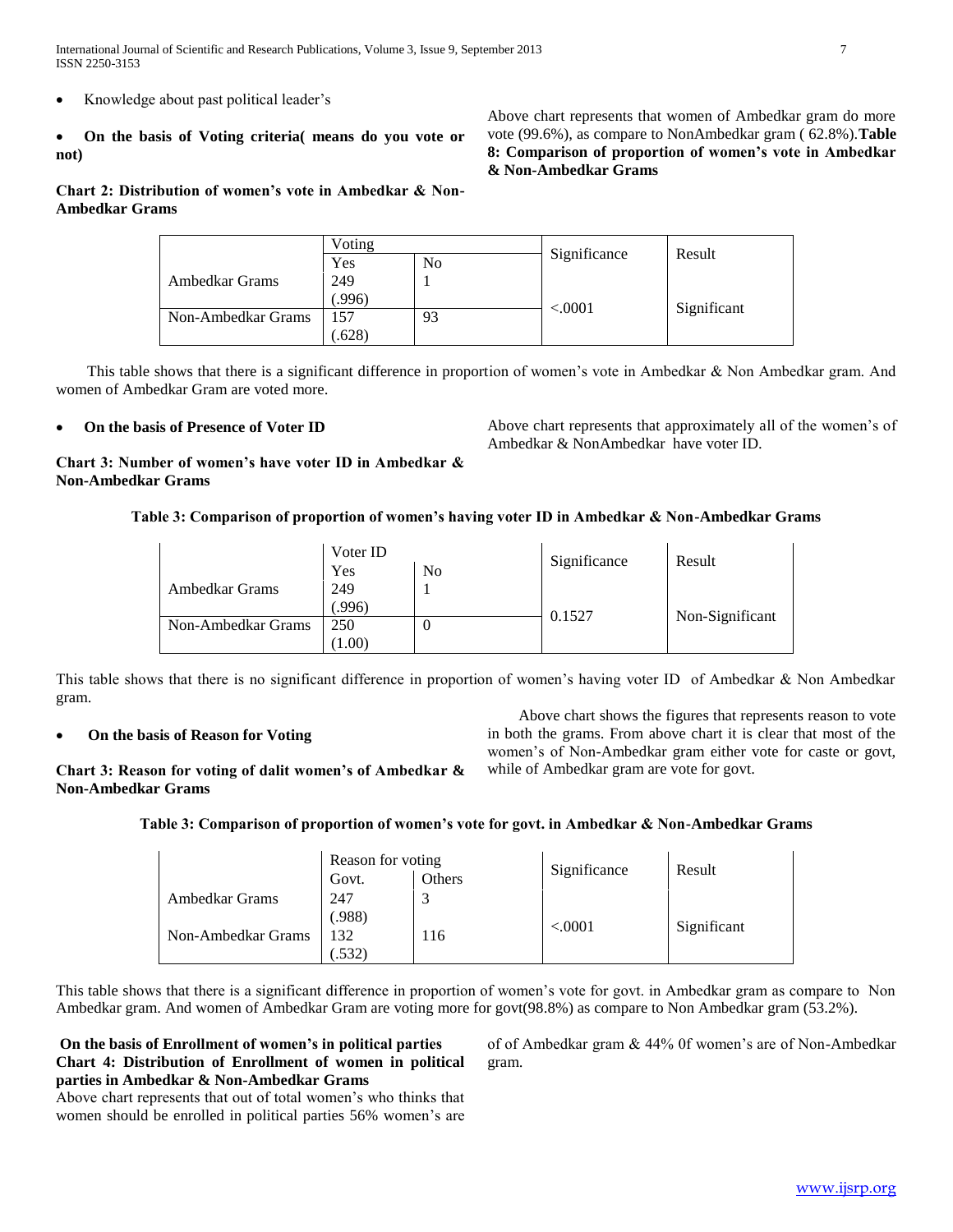International Journal of Scientific and Research Publications, Volume 3, Issue 9, September 2013 7 ISSN 2250-3153

- Knowledge about past political leader's
- **On the basis of Voting criteria( means do you vote or not)**

# **Chart 2: Distribution of women's vote in Ambedkar & Non-Ambedkar Grams**

Above chart represents that women of Ambedkar gram do more vote (99.6%), as compare to NonAmbedkar gram ( 62.8%).**Table 8: Comparison of proportion of women's vote in Ambedkar & Non-Ambedkar Grams** 

|                    | Voting |                |              |             |
|--------------------|--------|----------------|--------------|-------------|
|                    | Yes    | N <sub>0</sub> | Significance | Result      |
| Ambedkar Grams     | 249    |                |              |             |
|                    | .996)  |                |              |             |
| Non-Ambedkar Grams | 157    | 93             | < 0.0001     | Significant |
|                    | .628)  |                |              |             |

This table shows that there is a significant difference in proportion of women's vote in Ambedkar & Non Ambedkar gram. And women of Ambedkar Gram are voted more.

# **On the basis of Presence of Voter ID**

Above chart represents that approximately all of the women's of Ambedkar & NonAmbedkar have voter ID.

**Chart 3: Number of women's have voter ID in Ambedkar & Non-Ambedkar Grams** 

#### **Table 3: Comparison of proportion of women's having voter ID in Ambedkar & Non-Ambedkar Grams**

|                    | Voter ID |                | Significance | Result          |
|--------------------|----------|----------------|--------------|-----------------|
|                    | Yes      | N <sub>o</sub> |              |                 |
| Ambedkar Grams     | 249      |                |              |                 |
|                    | (.996)   |                | 0.1527       |                 |
| Non-Ambedkar Grams | 250      | υ              |              | Non-Significant |
|                    | (1.00)   |                |              |                 |

This table shows that there is no significant difference in proportion of women's having voter ID of Ambedkar & Non Ambedkar gram.

#### **On the basis of Reason for Voting**

Above chart shows the figures that represents reason to vote in both the grams. From above chart it is clear that most of the women's of Non-Ambedkar gram either vote for caste or govt, while of Ambedkar gram are vote for govt.

**Chart 3: Reason for voting of dalit women's of Ambedkar & Non-Ambedkar Grams** 

#### **Table 3: Comparison of proportion of women's vote for govt. in Ambedkar & Non-Ambedkar Grams**

|                    | Reason for voting |        | Significance | Result      |
|--------------------|-------------------|--------|--------------|-------------|
|                    | Govt.             | Others |              |             |
| Ambedkar Grams     | 247               |        |              |             |
|                    | (.988)            |        | < .0001      | Significant |
| Non-Ambedkar Grams | 132               | 116    |              |             |
|                    | .532)             |        |              |             |

This table shows that there is a significant difference in proportion of women's vote for govt. in Ambedkar gram as compare to Non Ambedkar gram. And women of Ambedkar Gram are voting more for govt(98.8%) as compare to Non Ambedkar gram (53.2%).

**On the basis of Enrollment of women's in political parties Chart 4: Distribution of Enrollment of women in political parties in Ambedkar & Non-Ambedkar Grams** 

Above chart represents that out of total women's who thinks that women should be enrolled in political parties 56% women's are of of Ambedkar gram & 44% 0f women's are of Non-Ambedkar gram.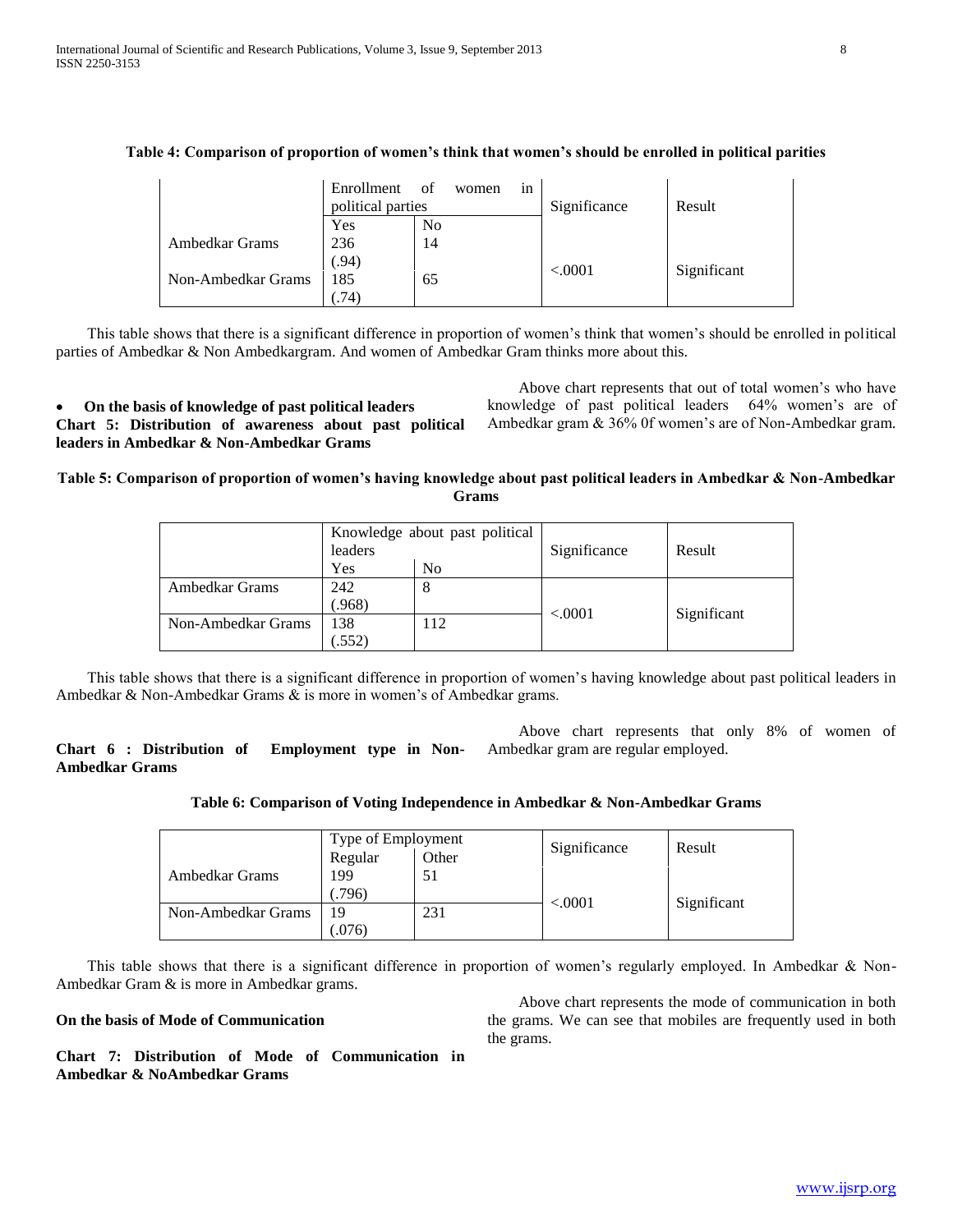|                    | Enrollment<br>political parties | of<br>women<br>1n | Significance | Result      |
|--------------------|---------------------------------|-------------------|--------------|-------------|
|                    | Yes                             | N <sub>0</sub>    |              |             |
| Ambedkar Grams     | 236                             | 14                |              |             |
|                    | (.94)                           |                   | < .0001      | Significant |
| Non-Ambedkar Grams | 185                             | 65                |              |             |
|                    | $.74^{\circ}$                   |                   |              |             |

# **Table 4: Comparison of proportion of women's think that women's should be enrolled in political parities**

This table shows that there is a significant difference in proportion of women's think that women's should be enrolled in political parties of Ambedkar & Non Ambedkargram. And women of Ambedkar Gram thinks more about this.

 **On the basis of knowledge of past political leaders Chart 5: Distribution of awareness about past political leaders in Ambedkar & Non-Ambedkar Grams** 

Above chart represents that out of total women's who have knowledge of past political leaders 64% women's are of Ambedkar gram & 36% 0f women's are of Non-Ambedkar gram.

# **Table 5: Comparison of proportion of women's having knowledge about past political leaders in Ambedkar & Non-Ambedkar Grams**

|                    | Knowledge about past political<br>leaders |                | Significance | Result      |
|--------------------|-------------------------------------------|----------------|--------------|-------------|
|                    | Yes                                       | N <sub>0</sub> |              |             |
| Ambedkar Grams     | 242                                       | 8              |              |             |
|                    | (.968)                                    |                | < 0.0001     |             |
| Non-Ambedkar Grams | 138                                       | 112            |              | Significant |
|                    | .552)                                     |                |              |             |

This table shows that there is a significant difference in proportion of women's having knowledge about past political leaders in Ambedkar & Non-Ambedkar Grams & is more in women's of Ambedkar grams.

**Chart 6 : Distribution of Employment type in Non-Ambedkar Grams** Above chart represents that only 8% of women of Ambedkar gram are regular employed.

## **Table 6: Comparison of Voting Independence in Ambedkar & Non-Ambedkar Grams**

|                    | Type of Employment |       |              | Result      |
|--------------------|--------------------|-------|--------------|-------------|
|                    | Regular            | Other | Significance |             |
| Ambedkar Grams     | 199                | 51    |              |             |
|                    | (.796)             |       |              |             |
| Non-Ambedkar Grams | 19                 | 231   | < .0001      | Significant |
|                    | (076)              |       |              |             |

This table shows that there is a significant difference in proportion of women's regularly employed. In Ambedkar & Non-Ambedkar Gram & is more in Ambedkar grams.

## **On the basis of Mode of Communication**

Above chart represents the mode of communication in both the grams. We can see that mobiles are frequently used in both the grams.

**Chart 7: Distribution of Mode of Communication in Ambedkar & NoAmbedkar Grams**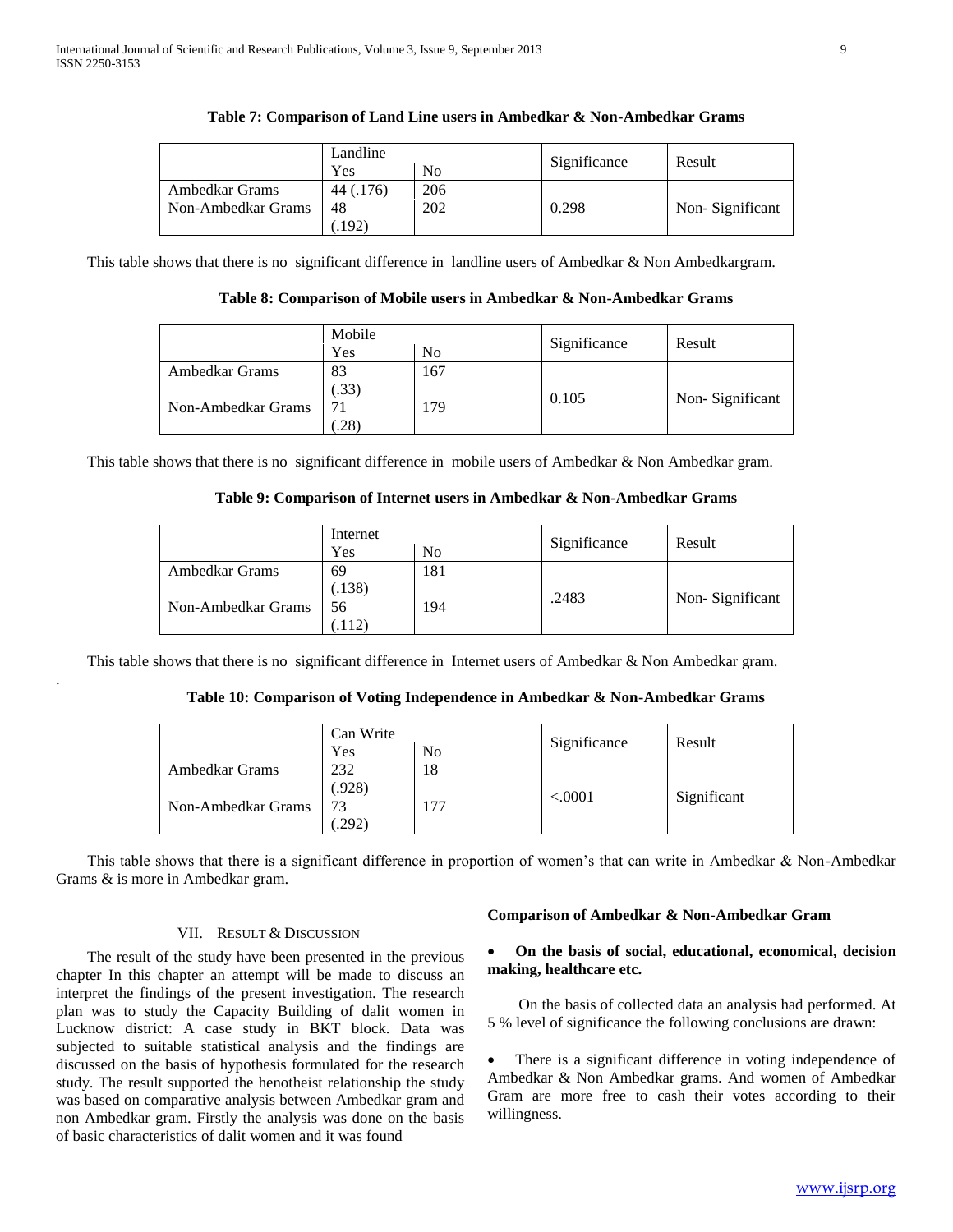|                    | Landline  |                |              | Result          |
|--------------------|-----------|----------------|--------------|-----------------|
|                    | Yes       | N <sub>0</sub> | Significance |                 |
| Ambedkar Grams     | 44 (.176) | 206            |              |                 |
| Non-Ambedkar Grams | 48        | 202            | 0.298        | Non-Significant |
|                    | .192)     |                |              |                 |

#### **Table 7: Comparison of Land Line users in Ambedkar & Non-Ambedkar Grams**

This table shows that there is no significant difference in landline users of Ambedkar & Non Ambedkargram.

## **Table 8: Comparison of Mobile users in Ambedkar & Non-Ambedkar Grams**

|                    | Mobile |     |              |                 |
|--------------------|--------|-----|--------------|-----------------|
|                    | Yes    | No  | Significance | Result          |
| Ambedkar Grams     | 83     | 167 |              |                 |
|                    | .33)   |     | 0.105        |                 |
| Non-Ambedkar Grams |        | 179 |              | Non-Significant |
|                    | .28)   |     |              |                 |

This table shows that there is no significant difference in mobile users of Ambedkar & Non Ambedkar gram.

#### **Table 9: Comparison of Internet users in Ambedkar & Non-Ambedkar Grams**

|                    | Internet |     |              |                 |
|--------------------|----------|-----|--------------|-----------------|
|                    | Yes      | No  | Significance | Result          |
| Ambedkar Grams     | 69       | 181 |              |                 |
|                    | (.138)   |     | .2483        |                 |
| Non-Ambedkar Grams | 56       | 194 |              | Non-Significant |
|                    |          |     |              |                 |

This table shows that there is no significant difference in Internet users of Ambedkar & Non Ambedkar gram.

#### **Table 10: Comparison of Voting Independence in Ambedkar & Non-Ambedkar Grams**

|                    | Can Write      |     |              |             |
|--------------------|----------------|-----|--------------|-------------|
|                    | Yes            | No  | Significance | Result      |
| Ambedkar Grams     | 232            | 18  |              |             |
|                    | (.928)         |     | < .0001      | Significant |
| Non-Ambedkar Grams | 73             | 177 |              |             |
|                    | $.292^{\circ}$ |     |              |             |

This table shows that there is a significant difference in proportion of women's that can write in Ambedkar & Non-Ambedkar Grams & is more in Ambedkar gram.

# VII. RESULT & DISCUSSION

.

The result of the study have been presented in the previous chapter In this chapter an attempt will be made to discuss an interpret the findings of the present investigation. The research plan was to study the Capacity Building of dalit women in Lucknow district: A case study in BKT block. Data was subjected to suitable statistical analysis and the findings are discussed on the basis of hypothesis formulated for the research study. The result supported the henotheist relationship the study was based on comparative analysis between Ambedkar gram and non Ambedkar gram. Firstly the analysis was done on the basis of basic characteristics of dalit women and it was found

#### **Comparison of Ambedkar & Non-Ambedkar Gram**

#### **On the basis of social, educational, economical, decision making, healthcare etc.**

On the basis of collected data an analysis had performed. At 5 % level of significance the following conclusions are drawn:

 There is a significant difference in voting independence of Ambedkar & Non Ambedkar grams. And women of Ambedkar Gram are more free to cash their votes according to their willingness.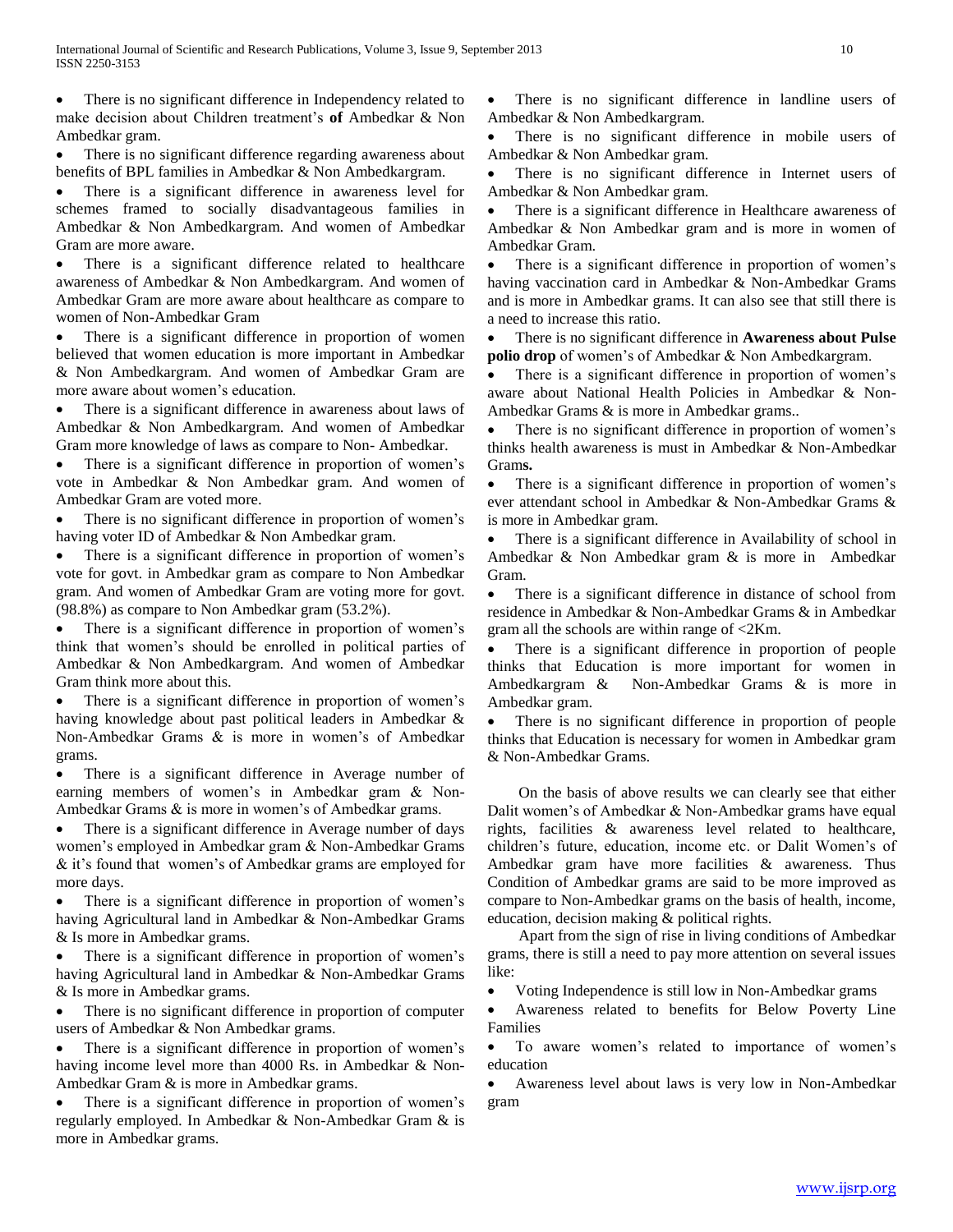There is no significant difference in Independency related to make decision about Children treatment's **of** Ambedkar & Non Ambedkar gram.

 There is no significant difference regarding awareness about benefits of BPL families in Ambedkar & Non Ambedkargram.

 There is a significant difference in awareness level for schemes framed to socially disadvantageous families in Ambedkar & Non Ambedkargram. And women of Ambedkar Gram are more aware.

 There is a significant difference related to healthcare awareness of Ambedkar & Non Ambedkargram. And women of Ambedkar Gram are more aware about healthcare as compare to women of Non-Ambedkar Gram

 There is a significant difference in proportion of women believed that women education is more important in Ambedkar & Non Ambedkargram. And women of Ambedkar Gram are more aware about women's education.

 There is a significant difference in awareness about laws of Ambedkar & Non Ambedkargram. And women of Ambedkar Gram more knowledge of laws as compare to Non- Ambedkar.

 There is a significant difference in proportion of women's vote in Ambedkar & Non Ambedkar gram. And women of Ambedkar Gram are voted more.

 There is no significant difference in proportion of women's having voter ID of Ambedkar & Non Ambedkar gram.

 There is a significant difference in proportion of women's vote for govt. in Ambedkar gram as compare to Non Ambedkar gram. And women of Ambedkar Gram are voting more for govt. (98.8%) as compare to Non Ambedkar gram (53.2%).

 There is a significant difference in proportion of women's think that women's should be enrolled in political parties of Ambedkar & Non Ambedkargram. And women of Ambedkar Gram think more about this.

 There is a significant difference in proportion of women's having knowledge about past political leaders in Ambedkar & Non-Ambedkar Grams & is more in women's of Ambedkar grams.

 There is a significant difference in Average number of earning members of women's in Ambedkar gram & Non-Ambedkar Grams & is more in women's of Ambedkar grams.

 There is a significant difference in Average number of days women's employed in Ambedkar gram & Non-Ambedkar Grams & it's found that women's of Ambedkar grams are employed for more days.

 There is a significant difference in proportion of women's having Agricultural land in Ambedkar & Non-Ambedkar Grams & Is more in Ambedkar grams.

 There is a significant difference in proportion of women's having Agricultural land in Ambedkar & Non-Ambedkar Grams & Is more in Ambedkar grams.

• There is no significant difference in proportion of computer users of Ambedkar & Non Ambedkar grams.

 There is a significant difference in proportion of women's having income level more than 4000 Rs. in Ambedkar & Non-Ambedkar Gram & is more in Ambedkar grams.

 There is a significant difference in proportion of women's regularly employed. In Ambedkar & Non-Ambedkar Gram & is more in Ambedkar grams.

 There is no significant difference in landline users of Ambedkar & Non Ambedkargram.

 There is no significant difference in mobile users of Ambedkar & Non Ambedkar gram.

 There is no significant difference in Internet users of Ambedkar & Non Ambedkar gram.

 There is a significant difference in Healthcare awareness of Ambedkar & Non Ambedkar gram and is more in women of Ambedkar Gram.

 There is a significant difference in proportion of women's having vaccination card in Ambedkar & Non-Ambedkar Grams and is more in Ambedkar grams. It can also see that still there is a need to increase this ratio.

 There is no significant difference in **Awareness about Pulse polio drop** of women's of Ambedkar & Non Ambedkargram.

 There is a significant difference in proportion of women's aware about National Health Policies in Ambedkar & Non-Ambedkar Grams & is more in Ambedkar grams..

 There is no significant difference in proportion of women's thinks health awareness is must in Ambedkar & Non-Ambedkar Gram**s.**

 There is a significant difference in proportion of women's ever attendant school in Ambedkar & Non-Ambedkar Grams & is more in Ambedkar gram.

 There is a significant difference in Availability of school in Ambedkar & Non Ambedkar gram & is more in Ambedkar Gram.

• There is a significant difference in distance of school from residence in Ambedkar & Non-Ambedkar Grams & in Ambedkar gram all the schools are within range of <2Km.

 There is a significant difference in proportion of people thinks that Education is more important for women in Ambedkargram & Non-Ambedkar Grams & is more in Ambedkar gram.

 There is no significant difference in proportion of people thinks that Education is necessary for women in Ambedkar gram & Non-Ambedkar Grams.

On the basis of above results we can clearly see that either Dalit women's of Ambedkar & Non-Ambedkar grams have equal rights, facilities & awareness level related to healthcare, children's future, education, income etc. or Dalit Women's of Ambedkar gram have more facilities & awareness. Thus Condition of Ambedkar grams are said to be more improved as compare to Non-Ambedkar grams on the basis of health, income, education, decision making & political rights.

Apart from the sign of rise in living conditions of Ambedkar grams, there is still a need to pay more attention on several issues like:

Voting Independence is still low in Non-Ambedkar grams

 Awareness related to benefits for Below Poverty Line Families

 To aware women's related to importance of women's education

 Awareness level about laws is very low in Non-Ambedkar gram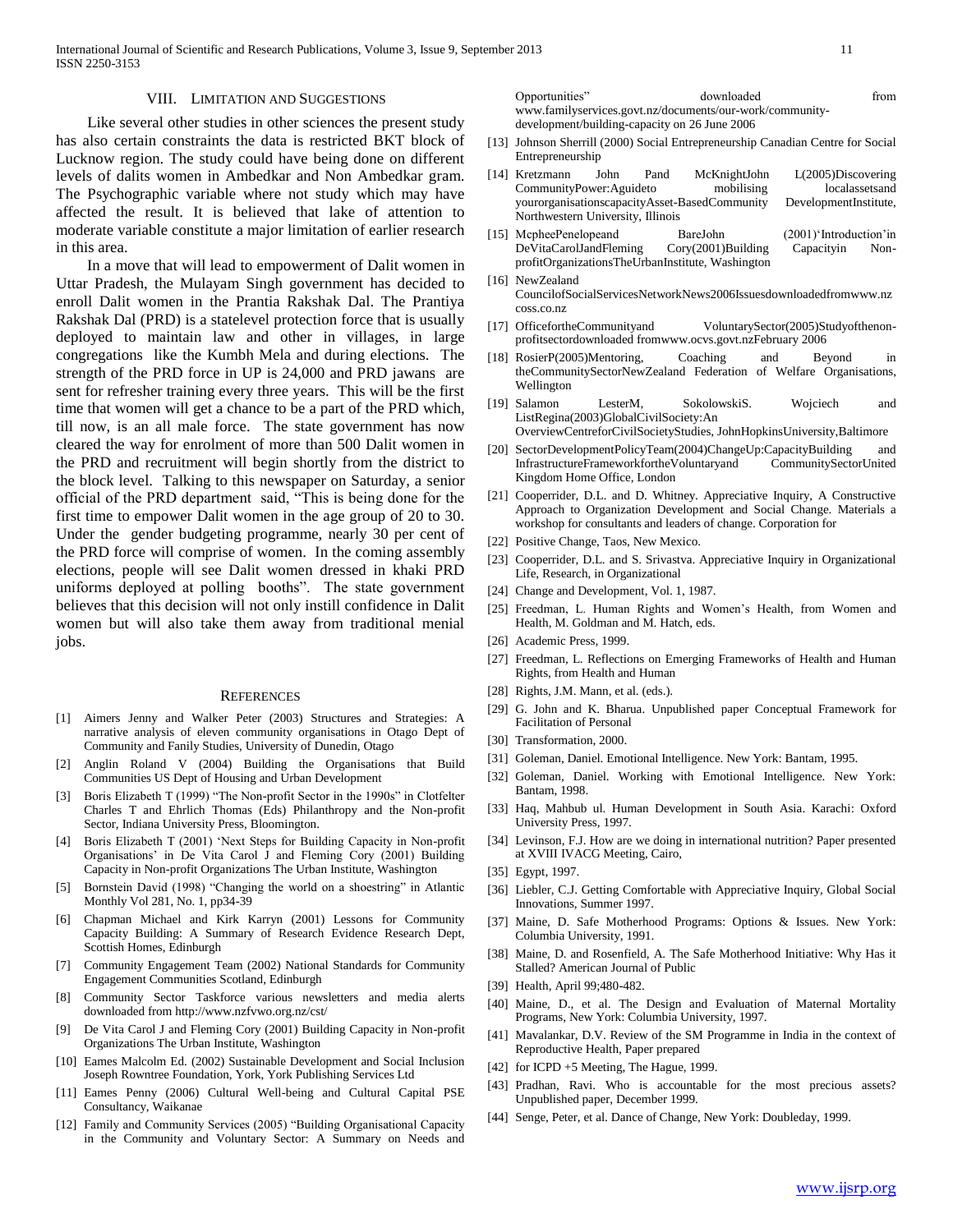#### VIII. LIMITATION AND SUGGESTIONS

Like several other studies in other sciences the present study has also certain constraints the data is restricted BKT block of Lucknow region. The study could have being done on different levels of dalits women in Ambedkar and Non Ambedkar gram. The Psychographic variable where not study which may have affected the result. It is believed that lake of attention to moderate variable constitute a major limitation of earlier research in this area.

In a move that will lead to empowerment of Dalit women in Uttar Pradesh, the Mulayam Singh government has decided to enroll Dalit women in the Prantia Rakshak Dal. The Prantiya Rakshak Dal (PRD) is a statelevel protection force that is usually deployed to maintain law and other in villages, in large congregations like the Kumbh Mela and during elections. The strength of the PRD force in UP is 24,000 and PRD jawans are sent for refresher training every three years. This will be the first time that women will get a chance to be a part of the PRD which, till now, is an all male force. The state government has now cleared the way for enrolment of more than 500 Dalit women in the PRD and recruitment will begin shortly from the district to the block level. Talking to this newspaper on Saturday, a senior official of the PRD department said, "This is being done for the first time to empower Dalit women in the age group of 20 to 30. Under the gender budgeting programme, nearly 30 per cent of the PRD force will comprise of women. In the coming assembly elections, people will see Dalit women dressed in khaki PRD uniforms deployed at polling booths". The state government believes that this decision will not only instill confidence in Dalit women but will also take them away from traditional menial jobs.

#### **REFERENCES**

- [1] Aimers Jenny and Walker Peter (2003) Structures and Strategies: A narrative analysis of eleven community organisations in Otago Dept of Community and Fanily Studies, University of Dunedin, Otago
- [2] Anglin Roland V (2004) Building the Organisations that Build Communities US Dept of Housing and Urban Development
- [3] Boris Elizabeth T (1999) "The Non-profit Sector in the 1990s" in Clotfelter Charles T and Ehrlich Thomas (Eds) Philanthropy and the Non-profit Sector, Indiana University Press, Bloomington.
- [4] Boris Elizabeth T (2001) 'Next Steps for Building Capacity in Non-profit Organisations' in De Vita Carol J and Fleming Cory (2001) Building Capacity in Non-profit Organizations The Urban Institute, Washington
- [5] Bornstein David (1998) "Changing the world on a shoestring" in Atlantic Monthly Vol 281, No. 1, pp34-39
- [6] Chapman Michael and Kirk Karryn (2001) Lessons for Community Capacity Building: A Summary of Research Evidence Research Dept, Scottish Homes, Edinburgh
- [7] Community Engagement Team (2002) National Standards for Community Engagement Communities Scotland, Edinburgh
- [8] Community Sector Taskforce various newsletters and media alerts downloaded from http://www.nzfvwo.org.nz/cst/
- De Vita Carol J and Fleming Cory (2001) Building Capacity in Non-profit Organizations The Urban Institute, Washington
- [10] Eames Malcolm Ed. (2002) Sustainable Development and Social Inclusion Joseph Rowntree Foundation, York, York Publishing Services Ltd
- [11] Eames Penny (2006) Cultural Well-being and Cultural Capital PSE Consultancy, Waikanae
- [12] Family and Community Services (2005) "Building Organisational Capacity in the Community and Voluntary Sector: A Summary on Needs and

Opportunities" downloaded from www.familyservices.govt.nz/documents/our-work/communitydevelopment/building-capacity on 26 June 2006

- [13] Johnson Sherrill (2000) Social Entrepreneurship Canadian Centre for Social Entrepreneurship
- [14] Kretzmann John Pand McKnightJohn L(2005)Discovering CommunityPower:Aguideto mobilising localassetsand yourorganisationscapacityAsset-BasedCommunity DevelopmentInstitute, Northwestern University, Illinois
- [15] McpheePenelopeand BareJohn (2001)'Introduction'in DeVitaCarolJandFleming Cory(2001)Building Capacityin NonprofitOrganizationsTheUrbanInstitute, Washington
- [16] NewZealand CouncilofSocialServicesNetworkNews2006Issuesdownloadedfromwww.nz coss.co.nz
- [17] OfficefortheCommunityand VoluntarySector(2005)Studyofthenonprofitsectordownloaded fromwww.ocvs.govt.nzFebruary 2006
- [18] RosierP(2005)Mentoring, Coaching and Beyond in theCommunitySectorNewZealand Federation of Welfare Organisations, Wellington
- [19] Salamon LesterM, SokolowskiS. Wojciech and ListRegina(2003)GlobalCivilSociety:An
- OverviewCentreforCivilSocietyStudies, JohnHopkinsUniversity,Baltimore [20] SectorDevelopmentPolicyTeam(2004)ChangeUp:CapacityBuilding and
- InfrastructureFrameworkfortheVoluntaryand CommunitySectorUnited Kingdom Home Office, London
- [21] Cooperrider, D.L. and D. Whitney. Appreciative Inquiry, A Constructive Approach to Organization Development and Social Change. Materials a workshop for consultants and leaders of change. Corporation for
- [22] Positive Change, Taos, New Mexico.
- [23] Cooperrider, D.L. and S. Srivastva. Appreciative Inquiry in Organizational Life, Research, in Organizational
- [24] Change and Development, Vol. 1, 1987.
- [25] Freedman, L. Human Rights and Women's Health, from Women and Health, M. Goldman and M. Hatch, eds.
- [26] Academic Press, 1999.
- [27] Freedman, L. Reflections on Emerging Frameworks of Health and Human Rights, from Health and Human
- [28] Rights, J.M. Mann, et al. (eds.).
- [29] G. John and K. Bharua. Unpublished paper Conceptual Framework for Facilitation of Personal
- [30] Transformation, 2000.
- [31] Goleman, Daniel. Emotional Intelligence. New York: Bantam, 1995.
- [32] Goleman, Daniel. Working with Emotional Intelligence. New York: Bantam, 1998.
- [33] Haq, Mahbub ul. Human Development in South Asia. Karachi: Oxford University Press, 1997.
- [34] Levinson, F.J. How are we doing in international nutrition? Paper presented at XVIII IVACG Meeting, Cairo,
- [35] Egypt, 1997.
- [36] Liebler, C.J. Getting Comfortable with Appreciative Inquiry, Global Social Innovations, Summer 1997.
- [37] Maine, D. Safe Motherhood Programs: Options & Issues. New York: Columbia University, 1991.
- [38] Maine, D. and Rosenfield, A. The Safe Motherhood Initiative: Why Has it Stalled? American Journal of Public
- [39] Health, April 99;480-482.
- [40] Maine, D., et al. The Design and Evaluation of Maternal Mortality Programs, New York: Columbia University, 1997.
- [41] Mavalankar, D.V. Review of the SM Programme in India in the context of Reproductive Health, Paper prepared
- [42] for ICPD +5 Meeting, The Hague, 1999.
- [43] Pradhan, Ravi. Who is accountable for the most precious assets? Unpublished paper, December 1999.
- [44] Senge, Peter, et al. Dance of Change, New York: Doubleday, 1999.